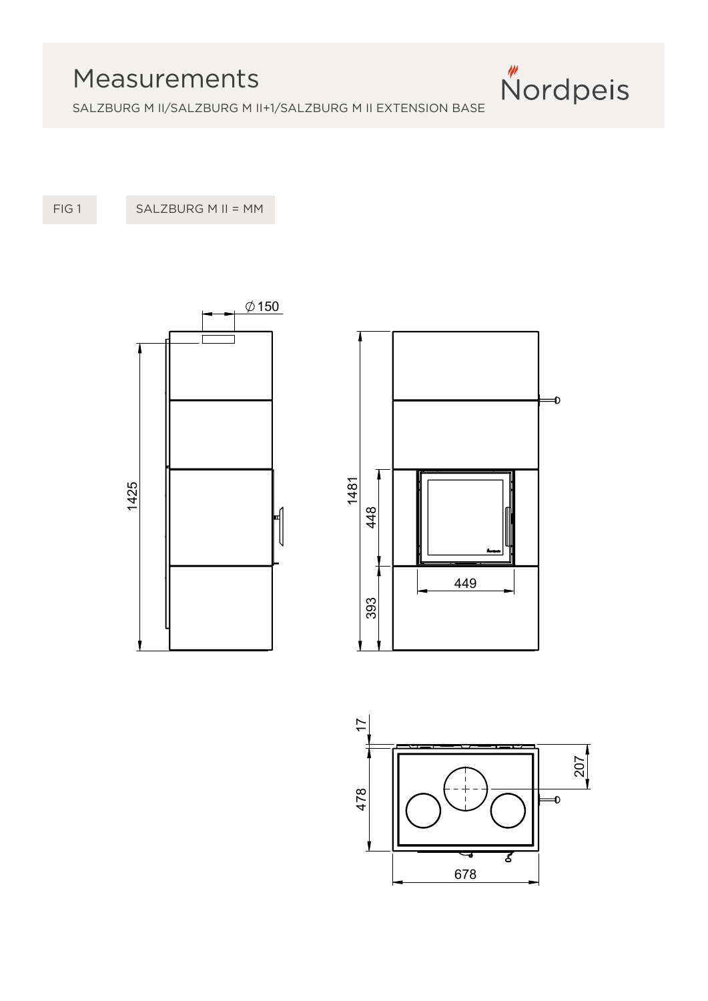#### **Measurements**  $\frac{1}{2}$   $\frac{1}{2}$   $\frac{1}{2}$   $\frac{1}{2}$   $\frac{1}{2}$   $\frac{1}{2}$   $\frac{1}{2}$   $\frac{1}{2}$   $\frac{1}{2}$   $\frac{1}{2}$   $\frac{1}{2}$   $\frac{1}{2}$   $\frac{1}{2}$   $\frac{1}{2}$   $\frac{1}{2}$   $\frac{1}{2}$   $\frac{1}{2}$   $\frac{1}{2}$   $\frac{1}{2}$   $\frac{1}{2}$   $\frac{1}{2}$   $\frac{1}{2}$

SALZBURG M II/SALZBURG M II+1/SALZBURG M II EXTENSION BASE

FIG 1 SALZBURG M II = MM





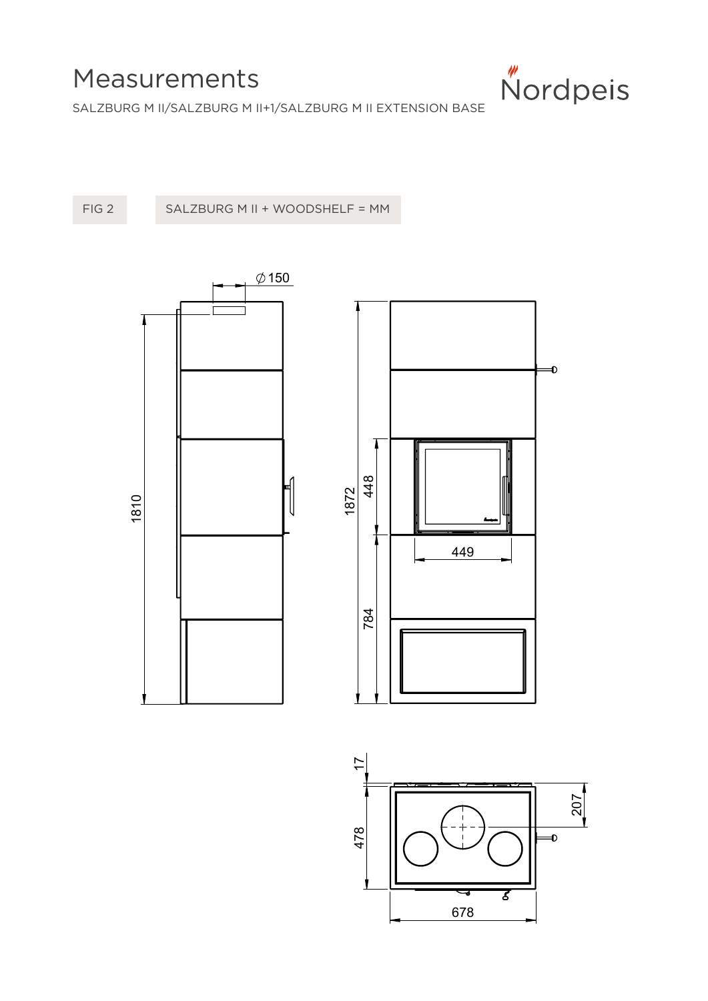

SALZBURG M II/SALZBURG M II+1/SALZBURG M II EXTENSION BASE

FIG 2 SALZBURG M II + WOODSHELF = MM





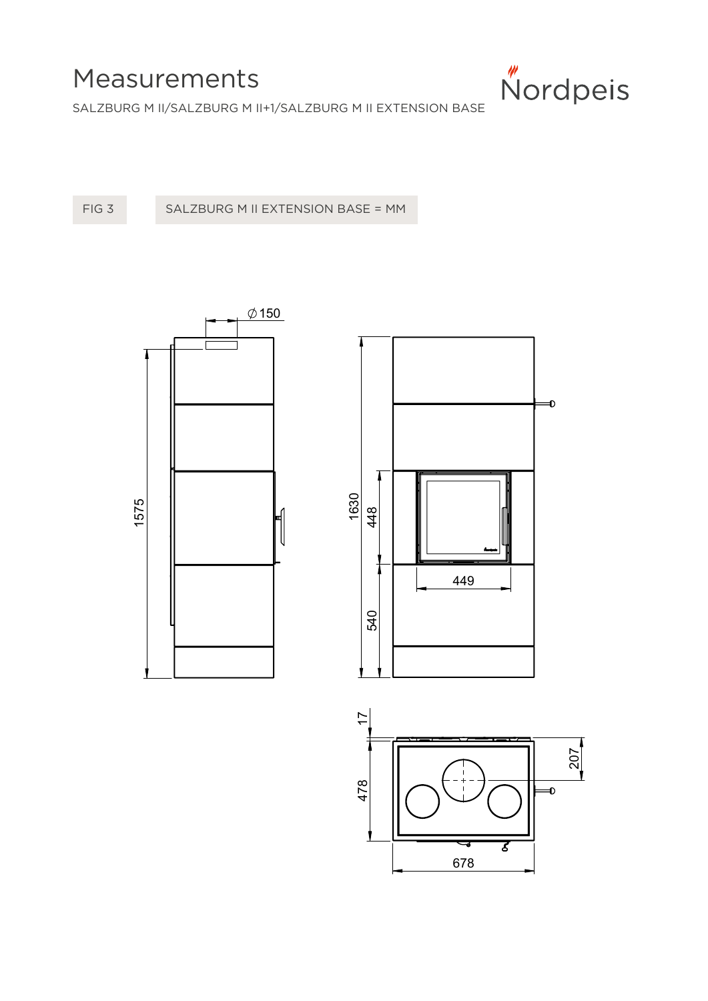

SALZBURG M II/SALZBURG M II+1/SALZBURG M II EXTENSION BASE

FIG 3 SALZBURG M II EXTENSION BASE = MM





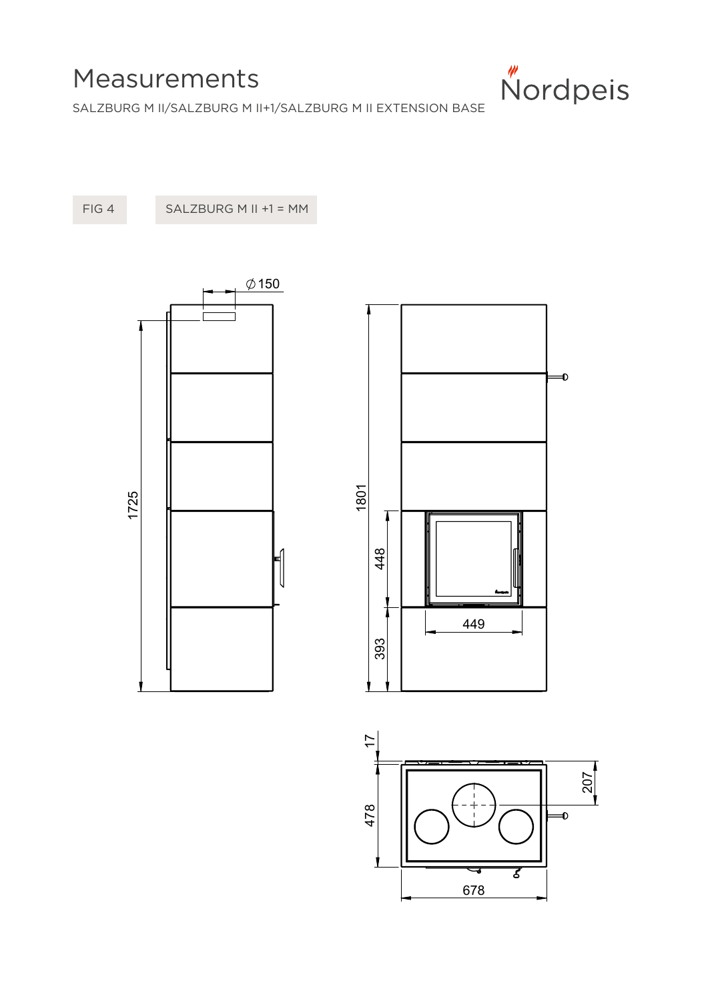

SALZBURG M II/SALZBURG M II+1/SALZBURG M II EXTENSION BASE<br>.

FIG 4 SALZBURG M II +1 = MM





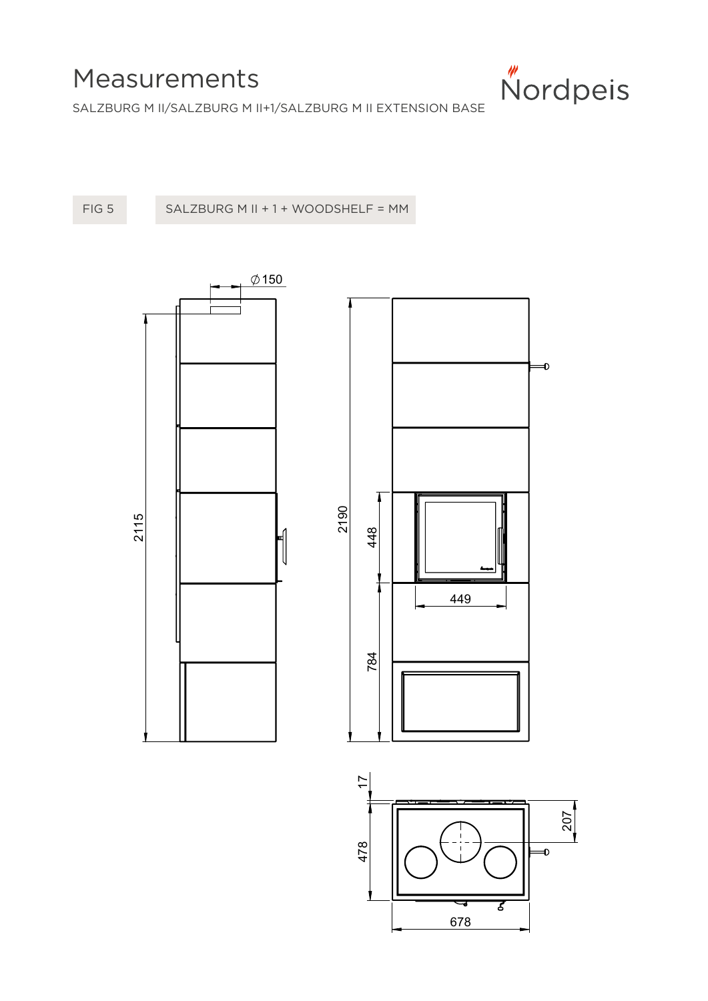

SALZBURG M II/SALZBURG M II+1/SALZBURG M II EXTENSION BASE  $\hfill$ 

FIG 5 SALZBURG M II + 1 + WOODSHELF = MM



678

 $\overline{\phantom{a}}$ 

Z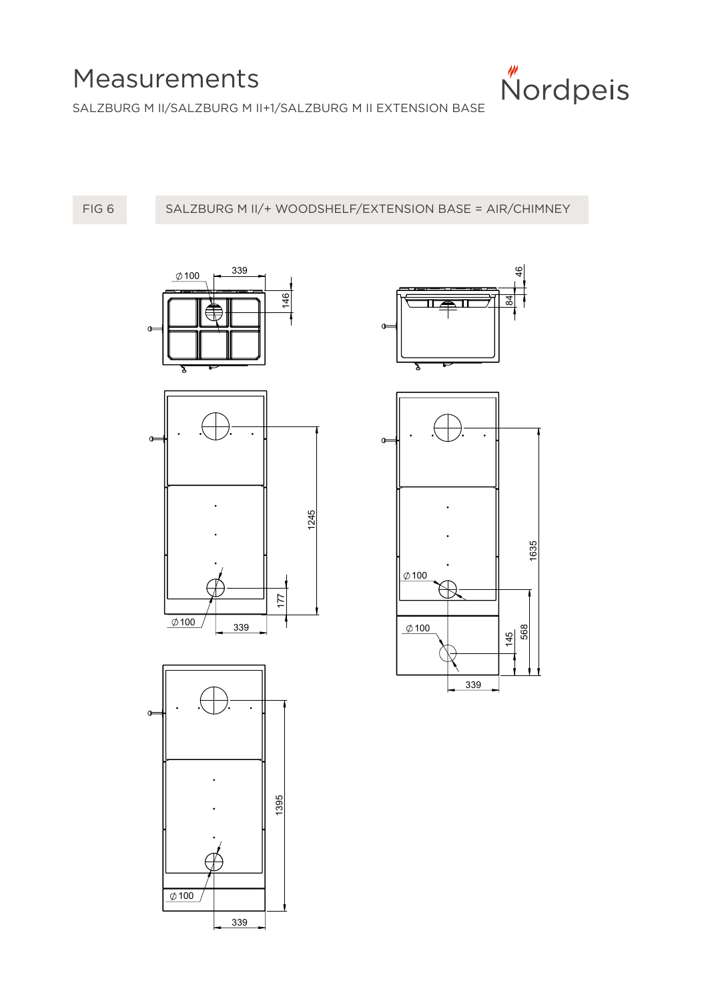

SALZBURG M II/SALZBURG M II+1/SALZBURG M II EXTENSION BASE

2 3 5

FIG 6 SALZBURG M II/+ WOODSHELF/EXTENSION BASE = AIR/CHIMNEY